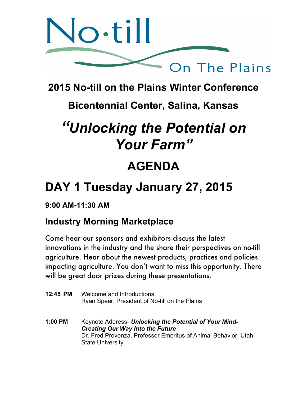

## **2015 No-till on the Plains Winter Conference**

## **Bicentennial Center, Salina, Kansas**

# *"Unlocking the Potential on Your Farm"*

## **AGENDA**

## **DAY 1 Tuesday January 27, 2015**

## **9:00 AM-11:30 AM**

## **Industry Morning Marketplace**

Come hear our sponsors and exhibitors discuss the latest innovations in the industry and the share their perspectives on no-till agriculture. Hear about the newest products, practices and policies impacting agriculture. You don't want to miss this opportunity. There will be great door prizes during these presentations.

| 12:45 PM | Welcome and Introductions<br>Ryan Speer, President of No-till on the Plains                                                                                                                    |
|----------|------------------------------------------------------------------------------------------------------------------------------------------------------------------------------------------------|
| 1:00 PM  | Keynote Address- Unlocking the Potential of Your Mind-<br><b>Creating Our Way Into the Future</b><br>Dr. Fred Provenza, Professor Emeritus of Animal Behavior, Utah<br><b>State University</b> |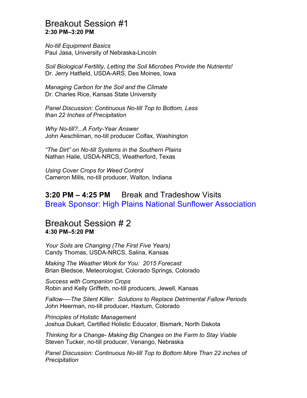#### Breakout Session #1 **2:30 PM–3:20 PM**

*No-till Equipment Basics* Paul Jasa, University of Nebraska-Lincoln

*Soil Biological Fertility, Letting the Soil Microbes Provide the Nutrients!* Dr. Jerry Hatfield, USDA-ARS, Des Moines, Iowa

*Managing Carbon for the Soil and the Climate* Dr. Charles Rice, Kansas State University

*Panel Discussion: Continuous No-till Top to Bottom, Less than 22 Inches of Precipitation*

*Why No-till?...A Forty-Year Answer* John Aeschliman, no-till producer Colfax, Washington

*"The Dirt" on No-till Systems in the Southern Plains* Nathan Haile, USDA-NRCS, Weatherford, Texas

*Using Cover Crops for Weed Control* Cameron Mills, no-till producer, Walton, Indiana

## **3:20 PM – 4:25 PM** Break and Tradeshow Visits Break Sponsor: High Plains National Sunflower Association

#### Breakout Session # 2 **4:30 PM–5:20 PM**

*Your Soils are Changing (The First Five Years)* Candy Thomas, USDA-NRCS, Salina, Kansas

*Making The Weather Work for You: 2015 Forecast* Brian Bledsoe, Meteorologist, Colorado Springs, Colorado

*Success with Companion Crops* Robin and Kelly Griffeth, no-till producers, Jewell, Kansas

*Fallow----The Silent Killer: Solutions to Replace Detrimental Fallow Periods* John Heerman, no-till producer, Haxtum, Colorado

*Principles of Holistic Management* Joshua Dukart, Certified Holistic Educator, Bismark, North Dakota

*Thinking for a Change- Making Big Changes on the Farm to Stay Viable* Steven Tucker, no-till producer, Venango, Nebraska

*Panel Discussion: Continuous No-till Top to Bottom More Than 22 inches of Precipitation*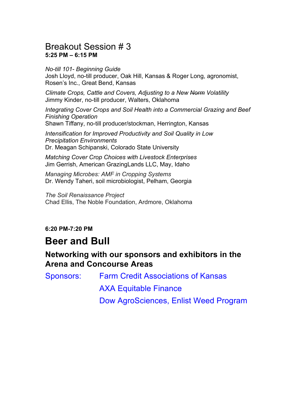### Breakout Session # 3 **5:25 PM – 6:15 PM**

*No-till 101- Beginning Guide* Josh Lloyd, no-till producer, Oak Hill, Kansas & Roger Long, agronomist, Rosen's Inc., Great Bend, Kansas

*Climate Crops, Cattle and Covers, Adjusting to a New Norm Volatility* Jimmy Kinder, no-till producer, Walters, Oklahoma

*Integrating Cover Crops and Soil Health into a Commercial Grazing and Beef Finishing Operation* Shawn Tiffany, no-till producer/stockman, Herrington, Kansas

*Intensification for Improved Productivity and Soil Quality in Low Precipitation Environments* Dr. Meagan Schipanski, Colorado State University

*Matching Cover Crop Choices with Livestock Enterprises* Jim Gerrish, American GrazingLands LLC, May, Idaho

*Managing Microbes: AMF in Cropping Systems* Dr. Wendy Taheri, soil microbiologist, Pelham, Georgia

*The Soil Renaissance Project* Chad Ellis, The Noble Foundation, Ardmore, Oklahoma

#### **6:20 PM-7:20 PM**

## **Beer and Bull**

### **Networking with our sponsors and exhibitors in the Arena and Concourse Areas**

Sponsors: Farm Credit Associations of Kansas AXA Equitable Finance Dow AgroSciences, Enlist Weed Program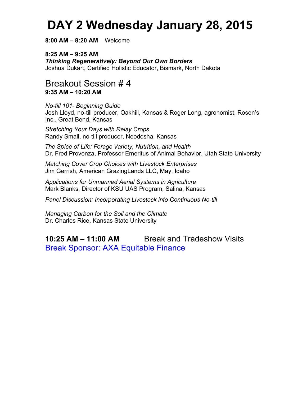## **DAY 2 Wednesday January 28, 2015**

**8:00 AM – 8:20 AM** Welcome

**8:25 AM – 9:25 AM** *Thinking Regeneratively: Beyond Our Own Borders* Joshua Dukart, Certified Holistic Educator, Bismark, North Dakota

#### Breakout Session # 4 **9:35 AM – 10:20 AM**

*No-till 101- Beginning Guide* Josh Lloyd, no-till producer, Oakhill, Kansas & Roger Long, agronomist, Rosen's Inc., Great Bend, Kansas

*Stretching Your Days with Relay Crops* Randy Small, no-till producer, Neodesha, Kansas

*The Spice of Life: Forage Variety, Nutrition, and Health* Dr. Fred Provenza, Professor Emeritus of Animal Behavior, Utah State University

*Matching Cover Crop Choices with Livestock Enterprises* Jim Gerrish, American GrazingLands LLC, May, Idaho

*Applications for Unmanned Aerial Systems in Agriculture* Mark Blanks, Director of KSU UAS Program, Salina, Kansas

*Panel Discussion: Incorporating Livestock into Continuous No-till*

*Managing Carbon for the Soil and the Climate* Dr. Charles Rice, Kansas State University

## **10:25 AM – 11:00 AM** Break and Tradeshow Visits Break Sponsor: AXA Equitable Finance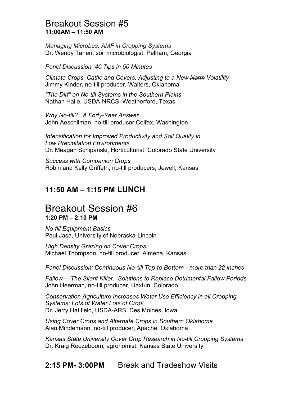#### Breakout Session #5 **11:00AM – 11:50 AM**

*Managing Microbes: AMF in Cropping Systems* Dr. Wendy Taheri, soil microbiologist, Pelham, Georgia

*Panel Discussion: 40 Tips in 50 Minutes*

*Climate Crops, Cattle and Covers, Adjusting to a New Norm Volatility* Jimmy Kinder, no-till producer, Walters, Oklahoma

*"The Dirt" on No-till Systems in the Southern Plains* Nathan Haile, USDA-NRCS, Weatherford, Texas

*Why No-till?...A Forty-Year Answer* John Aeschliman, no-till producer Colfax, Washington

*Intensification for Improved Productivity and Soil Quality in Low Precipitation Environments* Dr. Meagan Schipanski, Horticulturist, Colorado State University

*Success with Companion Crops* Robin and Kelly Griffeth, no-till producers, Jewell, Kansas

## **11:50 AM – 1:15 PM LUNCH**

## Breakout Session #6 **1:20 PM – 2:10 PM**

*No-till Equipment Basics* Paul Jasa, University of Nebraska-Lincoln

*High Density Grazing on Cover Crops* Michael Thompson, no-till producer, Almena, Kansas

*Panel Discussion: Continuous No-till Top to Bottom - more than 22 inches*

*Fallow----The Silent Killer: Solutions to Replace Detrimental Fallow Periods* John Heerman, no-till producer, Haxtun, Colorado

*Conservation Agriculture Increases Water Use Efficiency in all Cropping Systems; Lots of Water Lots of Crop!* Dr. Jerry Hatifield, USDA-ARS, Des Moines, Iowa

*Using Cover Crops and Alternate Crops in Southern Oklahoma* Alan Mindemann, no-till producer, Apache, Oklahoma

*Kansas State University Cover Crop Research in No-till Cropping Systems* Dr. Kraig Roozeboom, agronomist, Kansas State University

**2:15 PM- 3:00PM** Break and Tradeshow Visits